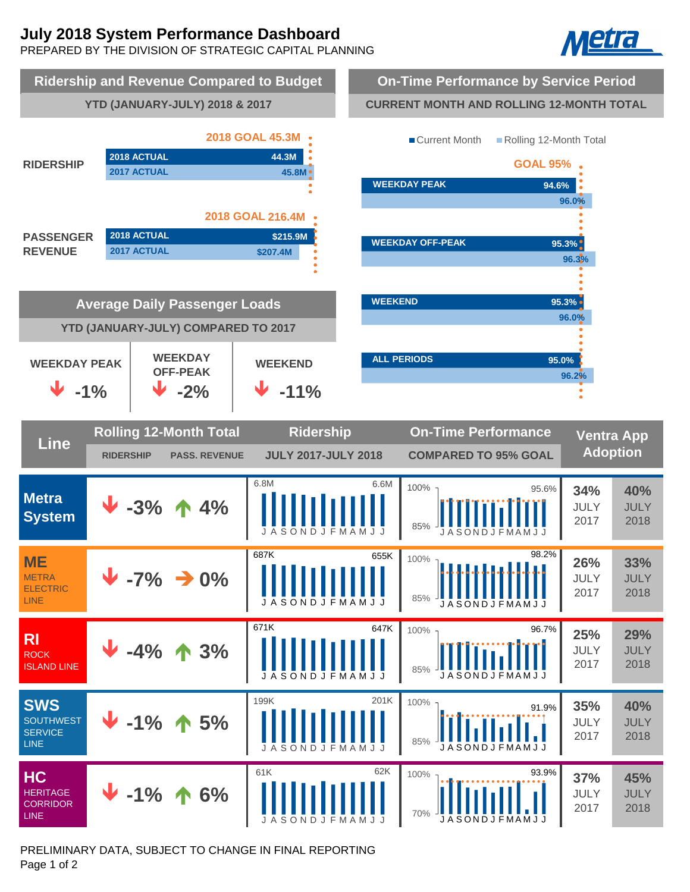# **July 2018 System Performance Dashboard**

PREPARED BY THE DIVISION OF STRATEGIC CAPITAL PLANNING





PRELIMINARY DATA, SUBJECT TO CHANGE IN FINAL REPORTING Page 1 of 2